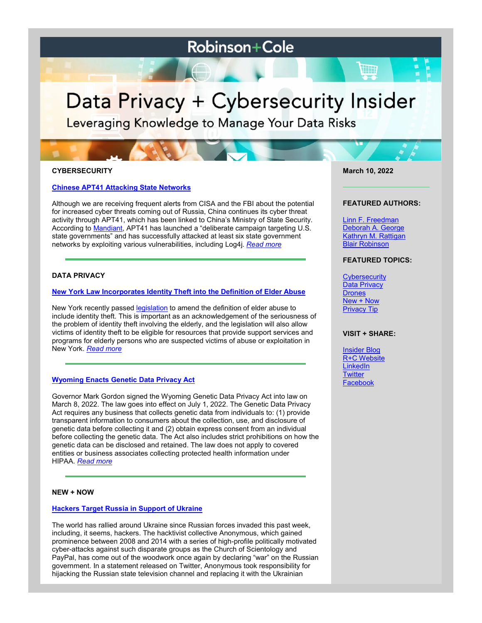# **Robinson+Cole**

# Data Privacy + Cybersecurity Insider

Leveraging Knowledge to Manage Your Data Risks

## **CYBERSECURITY**

#### **[Chinese APT41 Attacking State Networks](https://www.dataprivacyandsecurityinsider.com/2022/03/chinese-apt41-attacking-state-networks/)**

Although we are receiving frequent alerts from CISA and the FBI about the potential for increased cyber threats coming out of Russia, China continues its cyber threat activity through APT41, which has been linked to China's Ministry of State Security. According to [Mandiant,](https://www.mandiant.com/resources/apt41-us-state-governments) APT41 has launched a "deliberate campaign targeting U.S. state governments" and has successfully attacked at least six state government networks by exploiting various vulnerabilities, including Log4j. *[Read more](https://www.dataprivacyandsecurityinsider.com/2022/03/chinese-apt41-attacking-state-networks/)*

# **DATA PRIVACY**

#### **[New York Law Incorporates Identity Theft into the Definition of Elder Abuse](https://www.dataprivacyandsecurityinsider.com/2022/03/new-york-law-incorporates-identity-theft-into-the-definition-of-elder-abuse/)**

New York recently passed [legislation](https://aboutblaw.com/1SJ) to amend the definition of elder abuse to include identity theft. This is important as an acknowledgement of the seriousness of the problem of identity theft involving the elderly, and the legislation will also allow victims of identity theft to be eligible for resources that provide support services and programs for elderly persons who are suspected victims of abuse or exploitation in New York. *[Read more](https://www.dataprivacyandsecurityinsider.com/2022/03/new-york-law-incorporates-identity-theft-into-the-definition-of-elder-abuse/)*

#### **[Wyoming Enacts Genetic Data Privacy Act](https://www.dataprivacyandsecurityinsider.com/2022/03/wyoming-enacts-genetic-data-privacy-act/)**

Governor Mark Gordon signed the Wyoming Genetic Data Privacy Act into law on March 8, 2022. The law goes into effect on July 1, 2022. The Genetic Data Privacy Act requires any business that collects genetic data from individuals to: (1) provide transparent information to consumers about the collection, use, and disclosure of genetic data before collecting it and (2) obtain express consent from an individual before collecting the genetic data. The Act also includes strict prohibitions on how the genetic data can be disclosed and retained. The law does not apply to covered entities or business associates collecting protected health information under HIPAA. *[Read more](https://www.dataprivacyandsecurityinsider.com/2022/03/wyoming-enacts-genetic-data-privacy-act/)*

## **NEW + NOW**

#### **[Hackers Target Russia in Support of Ukraine](https://www.dataprivacyandsecurityinsider.com/2022/03/hackers-target-russia-in-support-of-ukraine-2/)**

The world has rallied around Ukraine since Russian forces invaded this past week, including, it seems, hackers. The hacktivist collective Anonymous, which gained prominence between 2008 and 2014 with a series of high-profile politically motivated cyber-attacks against such disparate groups as the Church of Scientology and PayPal, has come out of the woodwork once again by declaring "war" on the Russian government. In a statement released on Twitter, Anonymous took responsibility for hijacking the Russian state television channel and replacing it with the Ukrainian

**March 10, 2022**

#### **FEATURED AUTHORS:**

[Linn F. Freedman](https://www.rc.com/people/LinnFFreedman.cfm) [Deborah A. George](http://www.rc.com/people/DeborahAGeorge.cfm) [Kathryn M. Rattigan](https://www.rc.com/people/kathrynmrattigan.cfm) Blair Robinson

# **FEATURED TOPICS:**

**[Cybersecurity](https://www.dataprivacyandsecurityinsider.com/category/cybersecurity/)** [Data Privacy](https://www.dataprivacyandsecurityinsider.com/category/data-privacy/) **[Drones](https://www.dataprivacyandsecurityinsider.com/category/drones/)** [New + Now](https://www.dataprivacyandsecurityinsider.com/category/new-now/) [Privacy Tip](https://www.dataprivacyandsecurityinsider.com/category/privacy-tips/)

#### **VISIT + SHARE:**

[Insider Blog](https://www.dataprivacyandsecurityinsider.com/) [R+C Website](http://www.rc.com/) **[LinkedIn](https://www.linkedin.com/company/robinson-&-cole-llp) [Twitter](https://twitter.com/RobinsonCole)** [Facebook](https://www.facebook.com/RobinsonCole-144331422248207/)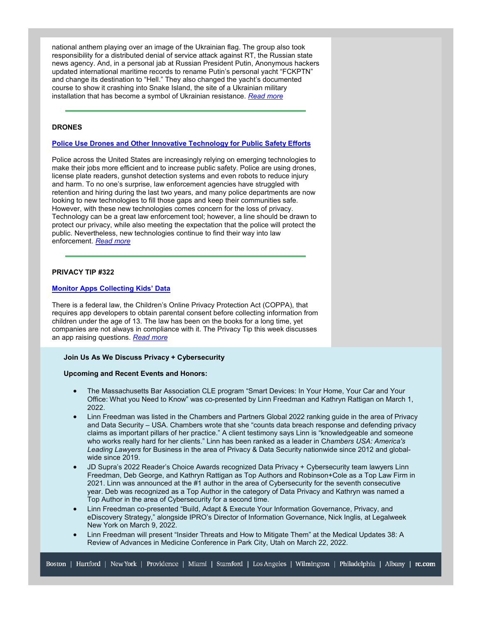national anthem playing over an image of the Ukrainian flag. The group also took responsibility for a distributed denial of service attack against RT, the Russian state news agency. And, in a personal jab at Russian President Putin, Anonymous hackers updated international maritime records to rename Putin's personal yacht "FCKPTN" and change its destination to "Hell." They also changed the yacht's documented course to show it crashing into Snake Island, the site of a Ukrainian military installation that has become a symbol of Ukrainian resistance. *[Read more](https://www.dataprivacyandsecurityinsider.com/2022/03/hackers-target-russia-in-support-of-ukraine-2/)*

#### **DRONES**

#### **[Police Use Drones and Other Innovative Technology for Public Safety Efforts](https://www.dataprivacyandsecurityinsider.com/2022/03/police-use-drones-and-other-innovative-technology-for-public-safety-efforts/)**

Police across the United States are increasingly relying on emerging technologies to make their jobs more efficient and to increase public safety. Police are using drones, license plate readers, gunshot detection systems and even robots to reduce injury and harm. To no one's surprise, law enforcement agencies have struggled with retention and hiring during the last two years, and many police departments are now looking to new technologies to fill those gaps and keep their communities safe. However, with these new technologies comes concern for the loss of privacy. Technology can be a great law enforcement tool; however, a line should be drawn to protect our privacy, while also meeting the expectation that the police will protect the public. Nevertheless, new technologies continue to find their way into law enforcement. *[Read more](https://www.dataprivacyandsecurityinsider.com/2022/03/police-use-drones-and-other-innovative-technology-for-public-safety-efforts/)*

# **PRIVACY TIP #322**

#### **[Monitor Apps Collecting Kids' Data](https://www.dataprivacyandsecurityinsider.com/2022/03/privacy-tip-322-monitor-apps-collecting-kids-data/)**

There is a federal law, the Children's Online Privacy Protection Act (COPPA), that requires app developers to obtain parental consent before collecting information from children under the age of 13. The law has been on the books for a long time, yet companies are not always in compliance with it. The Privacy Tip this week discusses an app raising questions. *[Read more](https://www.dataprivacyandsecurityinsider.com/2022/03/privacy-tip-322-monitor-apps-collecting-kids-data/)*

#### **Join Us As We Discuss Privacy + Cybersecurity**

#### **Upcoming and Recent Events and Honors:**

- The Massachusetts Bar Association CLE program "Smart Devices: In Your Home, Your Car and Your Office: What you Need to Know" was co-presented by Linn Freedman and Kathryn Rattigan on March 1, 2022.
- Linn Freedman was listed in the Chambers and Partners Global 2022 ranking guide in the area of Privacy and Data Security – USA. Chambers wrote that she "counts data breach response and defending privacy claims as important pillars of her practice." A client testimony says Linn is "knowledgeable and someone who works really hard for her clients." Linn has been ranked as a leader in C*hambers USA: America's Leading Lawyers* for Business in the area of Privacy & Data Security nationwide since 2012 and globalwide since 2019.
- JD Supra's 2022 Reader's Choice Awards recognized Data Privacy + Cybersecurity team lawyers Linn Freedman, Deb George, and Kathryn Rattigan as Top Authors and Robinson+Cole as a Top Law Firm in 2021. Linn was announced at the #1 author in the area of Cybersecurity for the seventh consecutive year. Deb was recognized as a Top Author in the category of Data Privacy and Kathryn was named a Top Author in the area of Cybersecurity for a second time.
- Linn Freedman co-presented "Build, Adapt & Execute Your Information Governance, Privacy, and eDiscovery Strategy," alongside IPRO's Director of Information Governance, Nick Inglis, at Legalweek New York on March 9, 2022.
- Linn Freedman will present "Insider Threats and How to Mitigate Them" at the Medical Updates 38: A Review of Advances in Medicine Conference in Park City, Utah on March 22, 2022.